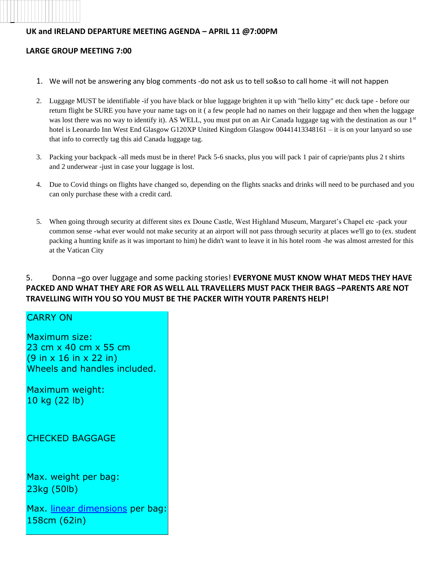### **UK and IRELAND DEPARTURE MEETING AGENDA – APRIL 11 @7:00PM**

#### **LARGE GROUP MEETING 7:00**

- 1. We will not be answering any blog comments -do not ask us to tell so&so to call home -it will not happen
- 2. Luggage MUST be identifiable -if you have black or blue luggage brighten it up with "hello kitty" etc duck tape before our return flight be SURE you have your name tags on it ( a few people had no names on their luggage and then when the luggage was lost there was no way to identify it). AS WELL, you must put on an Air Canada luggage tag with the destination as our 1<sup>st</sup> hotel is Leonardo Inn West End Glasgow G120XP United Kingdom Glasgow 00441413348161 – it is on your lanyard so use that info to correctly tag this aid Canada luggage tag.
- 3. Packing your backpack -all meds must be in there! Pack 5-6 snacks, plus you will pack 1 pair of caprie/pants plus 2 t shirts and 2 underwear -just in case your luggage is lost.
- 4. Due to Covid things on flights have changed so, depending on the flights snacks and drinks will need to be purchased and you can only purchase these with a credit card.
- 5. When going through security at different sites ex Doune Castle, West Highland Museum, Margaret's Chapel etc -pack your common sense -what ever would not make security at an airport will not pass through security at places we'll go to (ex. student packing a hunting knife as it was important to him) he didn't want to leave it in his hotel room -he was almost arrested for this at the Vatican City

## 5. Donna –go over luggage and some packing stories! **EVERYONE MUST KNOW WHAT MEDS THEY HAVE PACKED AND WHAT THEY ARE FOR AS WELL ALL TRAVELLERS MUST PACK THEIR BAGS –PARENTS ARE NOT TRAVELLING WITH YOU SO YOU MUST BE THE PACKER WITH YOUTR PARENTS HELP!**

# CARRY ON

Maximum size: 23 cm x 40 cm x 55 cm (9 in x 16 in x 22 in) Wheels and handles included.

Maximum weight: 10 kg (22 lb)

CHECKED BAGGAGE

Max. weight per bag: 23kg (50lb)

Max. linear dimensions per bag: 158cm (62in)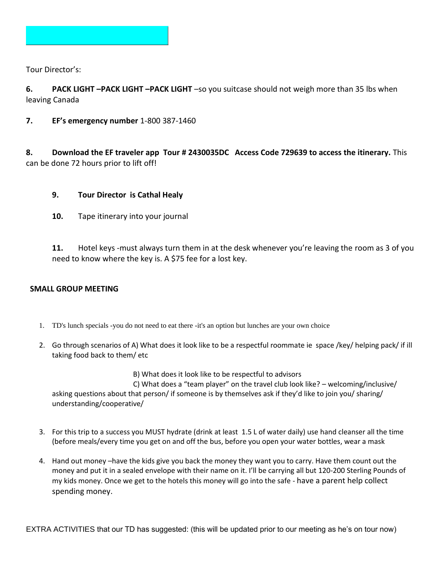

Tour Director's:

**6. PACK LIGHT –PACK LIGHT –PACK LIGHT** –so you suitcase should not weigh more than 35 lbs when leaving Canada

**7. EF's emergency number** 1-800 387-1460

**8. Download the EF traveler app Tour # 2430035DC Access Code 729639 to access the itinerary.** This can be done 72 hours prior to lift off!

# **9. Tour Director is Cathal Healy**

**10.** Tape itinerary into your journal

**11.** Hotel keys -must always turn them in at the desk whenever you're leaving the room as 3 of you need to know where the key is. A \$75 fee for a lost key.

### **SMALL GROUP MEETING**

- 1. TD's lunch specials -you do not need to eat there -it's an option but lunches are your own choice
- 2. Go through scenarios of A) What does it look like to be a respectful roommate ie space /key/ helping pack/ if ill taking food back to them/ etc

 B) What does it look like to be respectful to advisors C) What does a "team player" on the travel club look like? – welcoming/inclusive/ asking questions about that person/ if someone is by themselves ask if they'd like to join you/ sharing/ understanding/cooperative/

- 3. For this trip to a success you MUST hydrate (drink at least 1.5 L of water daily) use hand cleanser all the time (before meals/every time you get on and off the bus, before you open your water bottles, wear a mask
- 4. Hand out money –have the kids give you back the money they want you to carry. Have them count out the money and put it in a sealed envelope with their name on it. I'll be carrying all but 120-200 Sterling Pounds of my kids money. Once we get to the hotels this money will go into the safe - have a parent help collect spending money.

EXTRA ACTIVITIES that our TD has suggested: (this will be updated prior to our meeting as he's on tour now)